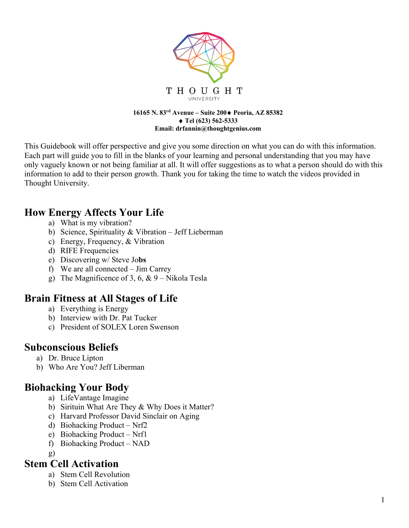

#### **16165 N. 83rd Avenue – Suite 200**¨ **Peoria, AZ 85382** ◆ Tel (623) 562-5333 **Email: drfannin@thoughtgenius.com**

This Guidebook will offer perspective and give you some direction on what you can do with this information. Each part will guide you to fill in the blanks of your learning and personal understanding that you may have only vaguely known or not being familiar at all. It will offer suggestions as to what a person should do with this information to add to their person growth. Thank you for taking the time to watch the videos provided in Thought University.

### **How Energy Affects Your Life**

- a) What is my vibration?
- b) Science, Spirituality & Vibration Jeff Lieberman
- c) Energy, Frequency, & Vibration
- d) RIFE Frequencies
- e) Discovering w/ Steve Jo**bs**
- f) We are all connected Jim Carrey
- g) The Magnificence of 3, 6, & 9 Nikola Tesla

### **Brain Fitness at All Stages of Life**

- a) Everything is Energy
- b) Interview with Dr. Pat Tucker
- c) President of SOLEX Loren Swenson

### **Subconscious Beliefs**

- a) Dr. Bruce Lipton
- b) Who Are You? Jeff Liberman

# **Biohacking Your Body**

- a) LifeVantage Imagine
- b) Sirituin What Are They & Why Does it Matter?
- c) Harvard Professor David Sinclair on Aging
- d) Biohacking Product Nrf2
- e) Biohacking Product Nrf1
- f) Biohacking Product NAD
- g)

#### **Stem Cell Activation**

- a) Stem Cell Revolution
- b) Stem Cell Activation